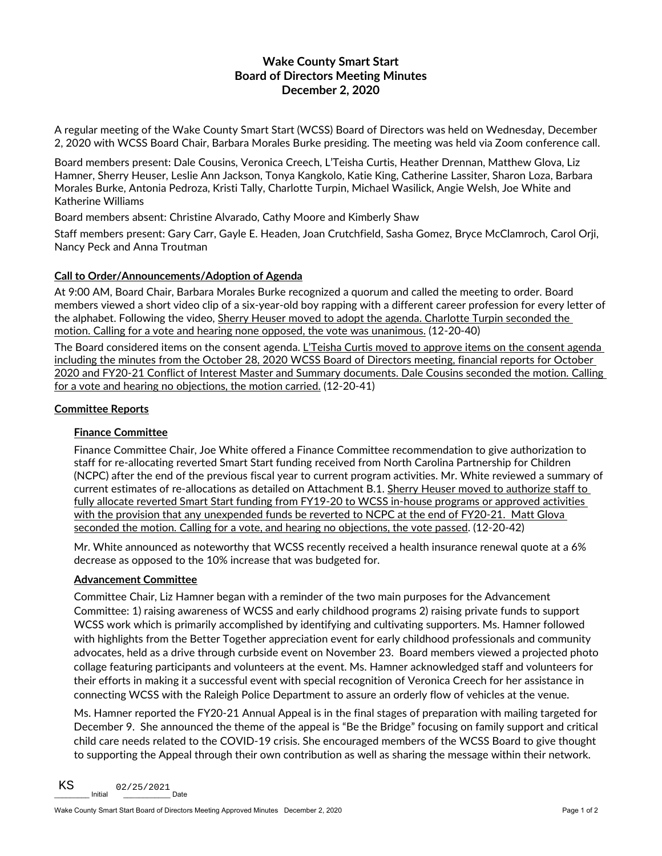# **Wake County Smart Start Board of Directors Meeting Minutes December 2, 2020**

A regular meeting of the Wake County Smart Start (WCSS) Board of Directors was held on Wednesday, December 2, 2020 with WCSS Board Chair, Barbara Morales Burke presiding. The meeting was held via Zoom conference call.

Board members present: Dale Cousins, Veronica Creech, L'Teisha Curtis, Heather Drennan, Matthew Glova, Liz Hamner, Sherry Heuser, Leslie Ann Jackson, Tonya Kangkolo, Katie King, Catherine Lassiter, Sharon Loza, Barbara Morales Burke, Antonia Pedroza, Kristi Tally, Charlotte Turpin, Michael Wasilick, Angie Welsh, Joe White and Katherine Williams

Board members absent: Christine Alvarado, Cathy Moore and Kimberly Shaw

Staff members present: Gary Carr, Gayle E. Headen, Joan Crutchfield, Sasha Gomez, Bryce McClamroch, Carol Orji, Nancy Peck and Anna Troutman

## **Call to Order/Announcements/Adoption of Agenda**

At 9:00 AM, Board Chair, Barbara Morales Burke recognized a quorum and called the meeting to order. Board members viewed a short video clip of a six-year-old boy rapping with a different career profession for every letter of the alphabet. Following the video, Sherry Heuser moved to adopt the agenda. Charlotte Turpin seconded the motion. Calling for a vote and hearing none opposed, the vote was unanimous. (12-20-40)

The Board considered items on the consent agenda. L'Teisha Curtis moved to approve items on the consent agenda including the minutes from the October 28, 2020 WCSS Board of Directors meeting, financial reports for October 2020 and FY20-21 Conflict of Interest Master and Summary documents. Dale Cousins seconded the motion. Calling for a vote and hearing no objections, the motion carried. (12-20-41)

### **Committee Reports**

### **Finance Committee**

Finance Committee Chair, Joe White offered a Finance Committee recommendation to give authorization to staff for re-allocating reverted Smart Start funding received from North Carolina Partnership for Children (NCPC) after the end of the previous fiscal year to current program activities. Mr. White reviewed a summary of current estimates of re-allocations as detailed on Attachment B.1. Sherry Heuser moved to authorize staff to fully allocate reverted Smart Start funding from FY19-20 to WCSS in-house programs or approved activities with the provision that any unexpended funds be reverted to NCPC at the end of FY20-21. Matt Glova seconded the motion. Calling for a vote, and hearing no objections, the vote passed. (12-20-42)

Mr. White announced as noteworthy that WCSS recently received a health insurance renewal quote at a 6% decrease as opposed to the 10% increase that was budgeted for.

#### **Advancement Committee**

Committee Chair, Liz Hamner began with a reminder of the two main purposes for the Advancement Committee: 1) raising awareness of WCSS and early childhood programs 2) raising private funds to support WCSS work which is primarily accomplished by identifying and cultivating supporters. Ms. Hamner followed with highlights from the Better Together appreciation event for early childhood professionals and community advocates, held as a drive through curbside event on November 23. Board members viewed a projected photo collage featuring participants and volunteers at the event. Ms. Hamner acknowledged staff and volunteers for their efforts in making it a successful event with special recognition of Veronica Creech for her assistance in connecting WCSS with the Raleigh Police Department to assure an orderly flow of vehicles at the venue.

Ms. Hamner reported the FY20-21 Annual Appeal is in the final stages of preparation with mailing targeted for December 9. She announced the theme of the appeal is "Be the Bridge" focusing on family support and critical child care needs related to the COVID-19 crisis. She encouraged members of the WCSS Board to give thought to supporting the Appeal through their own contribution as well as sharing the message within their network.

\_\_\_\_\_\_\_\_\_ Initial \_\_\_\_\_\_\_\_\_\_\_\_ Date KS 02/25/2021